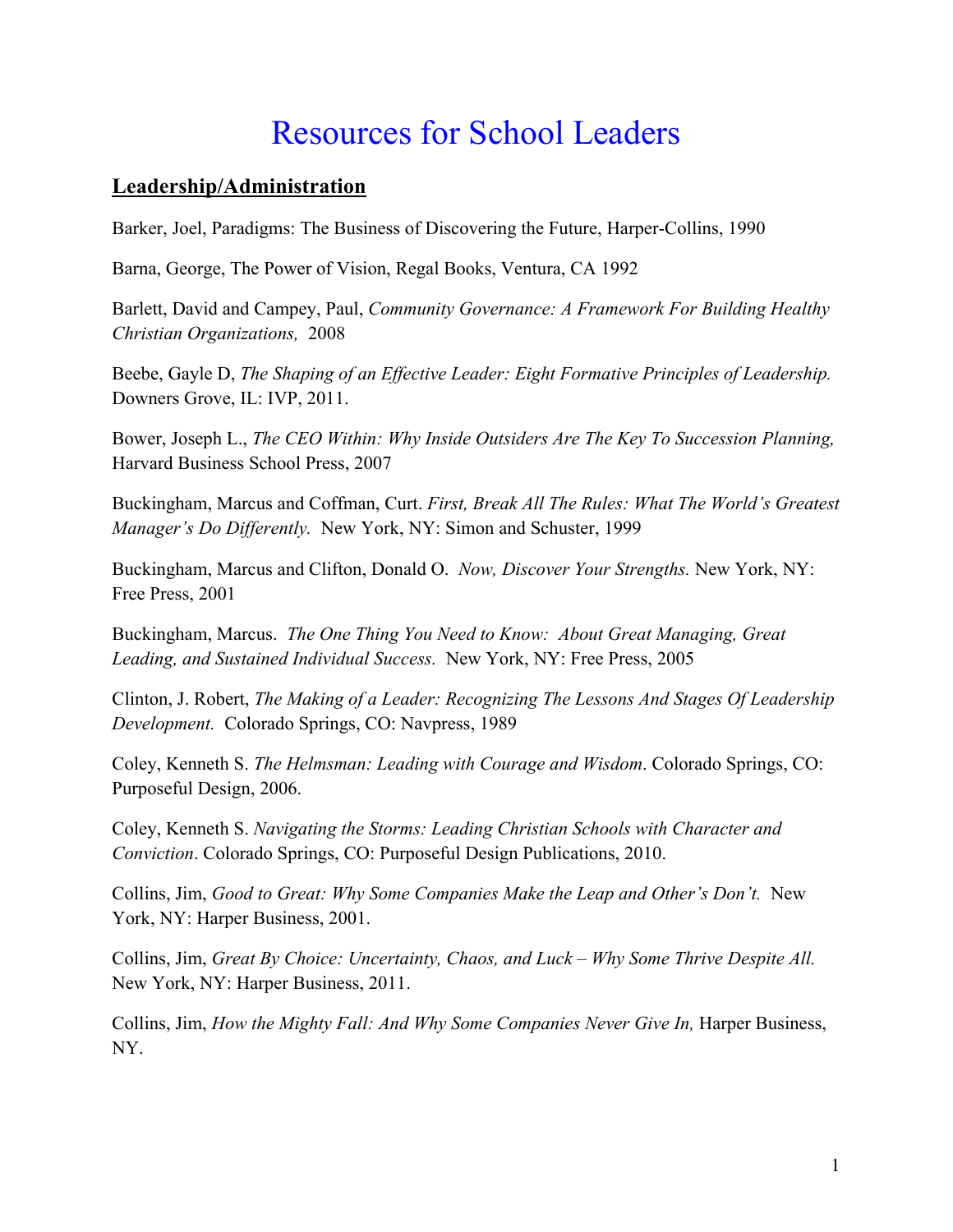# Resources for School Leaders

#### **Leadership/Administration**

Barker, Joel, Paradigms: The Business of Discovering the Future, Harper-Collins, 1990

Barna, George, The Power of Vision, Regal Books, Ventura, CA 1992

Barlett, David and Campey, Paul, *Community Governance: A Framework For Building Healthy Christian Organizations,* 2008

Beebe, Gayle D, *The Shaping of an Effective Leader: Eight Formative Principles of Leadership.* Downers Grove, IL: IVP, 2011.

Bower, Joseph L., *The CEO Within: Why Inside Outsiders Are The Key To Succession Planning,* Harvard Business School Press, 2007

Buckingham, Marcus and Coffman, Curt. *First, Break All The Rules: What The World's Greatest Manager's Do Differently.* New York, NY: Simon and Schuster, 1999

Buckingham, Marcus and Clifton, Donald O. *Now, Discover Your Strengths.* New York, NY: Free Press, 2001

Buckingham, Marcus. *The One Thing You Need to Know: About Great Managing, Great Leading, and Sustained Individual Success.* New York, NY: Free Press, 2005

Clinton, J. Robert, *The Making of a Leader: Recognizing The Lessons And Stages Of Leadership Development.* Colorado Springs, CO: Navpress, 1989

Coley, Kenneth S. *The Helmsman: Leading with Courage and Wisdom*. Colorado Springs, CO: Purposeful Design, 2006.

Coley, Kenneth S. *Navigating the Storms: Leading Christian Schools with Character and Conviction*. Colorado Springs, CO: Purposeful Design Publications, 2010.

Collins, Jim, *Good to Great: Why Some Companies Make the Leap and Other's Don't.* New York, NY: Harper Business, 2001.

Collins, Jim, *Great By Choice: Uncertainty, Chaos, and Luck – Why Some Thrive Despite All.* New York, NY: Harper Business, 2011.

Collins, Jim, *How the Mighty Fall: And Why Some Companies Never Give In,* Harper Business, NY.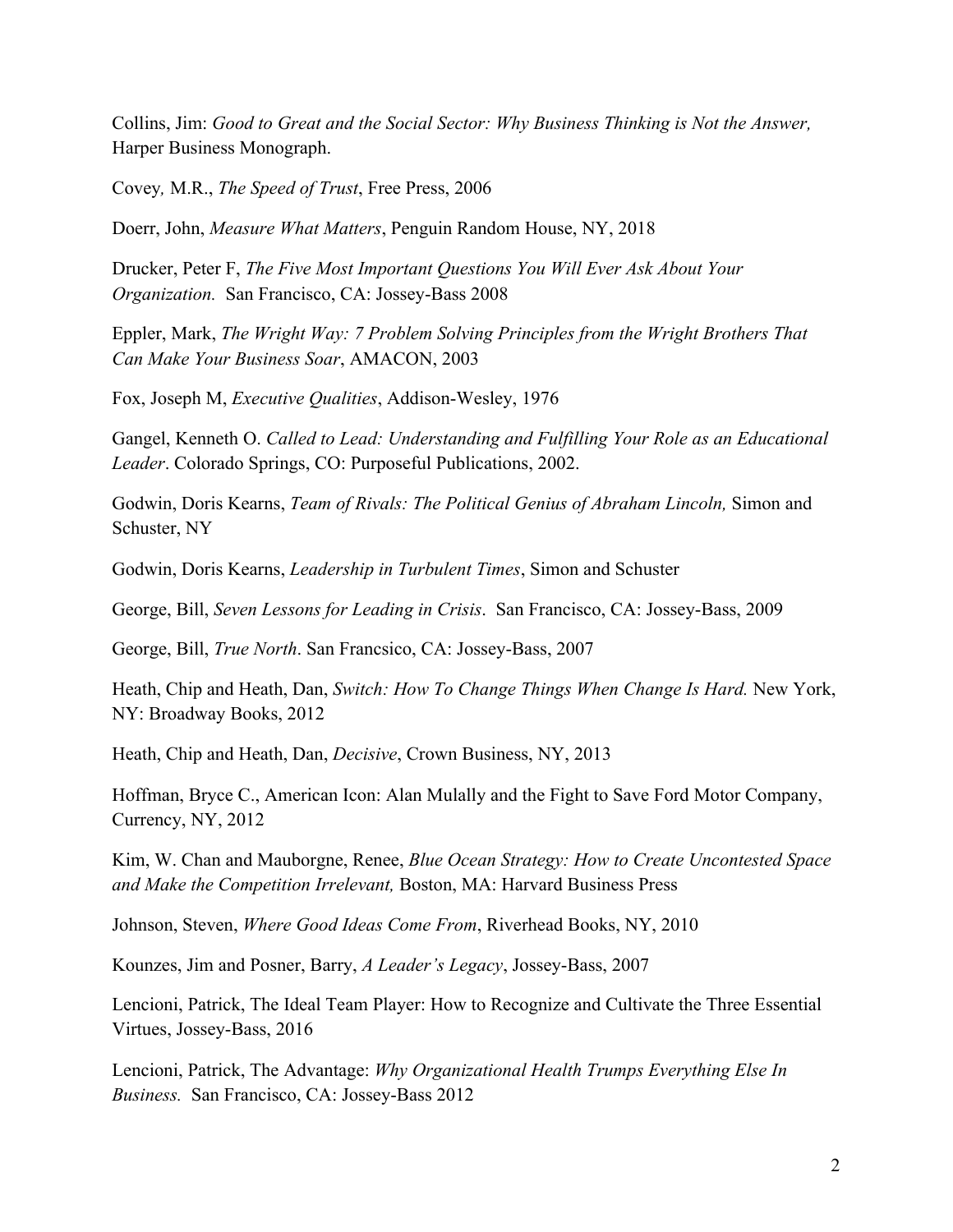Collins, Jim: *Good to Great and the Social Sector: Why Business Thinking is Not the Answer,* Harper Business Monograph.

Covey*,* M.R., *The Speed of Trust*, Free Press, 2006

Doerr, John, *Measure What Matters*, Penguin Random House, NY, 2018

Drucker, Peter F, *The Five Most Important Questions You Will Ever Ask About Your Organization.* San Francisco, CA: Jossey-Bass 2008

Eppler, Mark, *The Wright Way: 7 Problem Solving Principles from the Wright Brothers That Can Make Your Business Soar*, AMACON, 2003

Fox, Joseph M, *Executive Qualities*, Addison-Wesley, 1976

Gangel, Kenneth O. *Called to Lead: Understanding and Fulfilling Your Role as an Educational Leader*. Colorado Springs, CO: Purposeful Publications, 2002.

Godwin, Doris Kearns, *Team of Rivals: The Political Genius of Abraham Lincoln,* Simon and Schuster, NY

Godwin, Doris Kearns, *Leadership in Turbulent Times*, Simon and Schuster

George, Bill, *Seven Lessons for Leading in Crisis*. San Francisco, CA: Jossey-Bass, 2009

George, Bill, *True North*. San Francsico, CA: Jossey-Bass, 2007

Heath, Chip and Heath, Dan, *Switch: How To Change Things When Change Is Hard.* New York, NY: Broadway Books, 2012

Heath, Chip and Heath, Dan, *Decisive*, Crown Business, NY, 2013

Hoffman, Bryce C., American Icon: Alan Mulally and the Fight to Save Ford Motor Company, Currency, NY, 2012

Kim, W. Chan and Mauborgne, Renee, *Blue Ocean Strategy: How to Create Uncontested Space and Make the Competition Irrelevant,* Boston, MA: Harvard Business Press

Johnson, Steven, *Where Good Ideas Come From*, Riverhead Books, NY, 2010

Kounzes, Jim and Posner, Barry, *A Leader's Legacy*, Jossey-Bass, 2007

Lencioni, Patrick, The Ideal Team Player: How to Recognize and Cultivate the Three Essential Virtues, Jossey-Bass, 2016

Lencioni, Patrick, The Advantage: *Why Organizational Health Trumps Everything Else In Business.* San Francisco, CA: Jossey-Bass 2012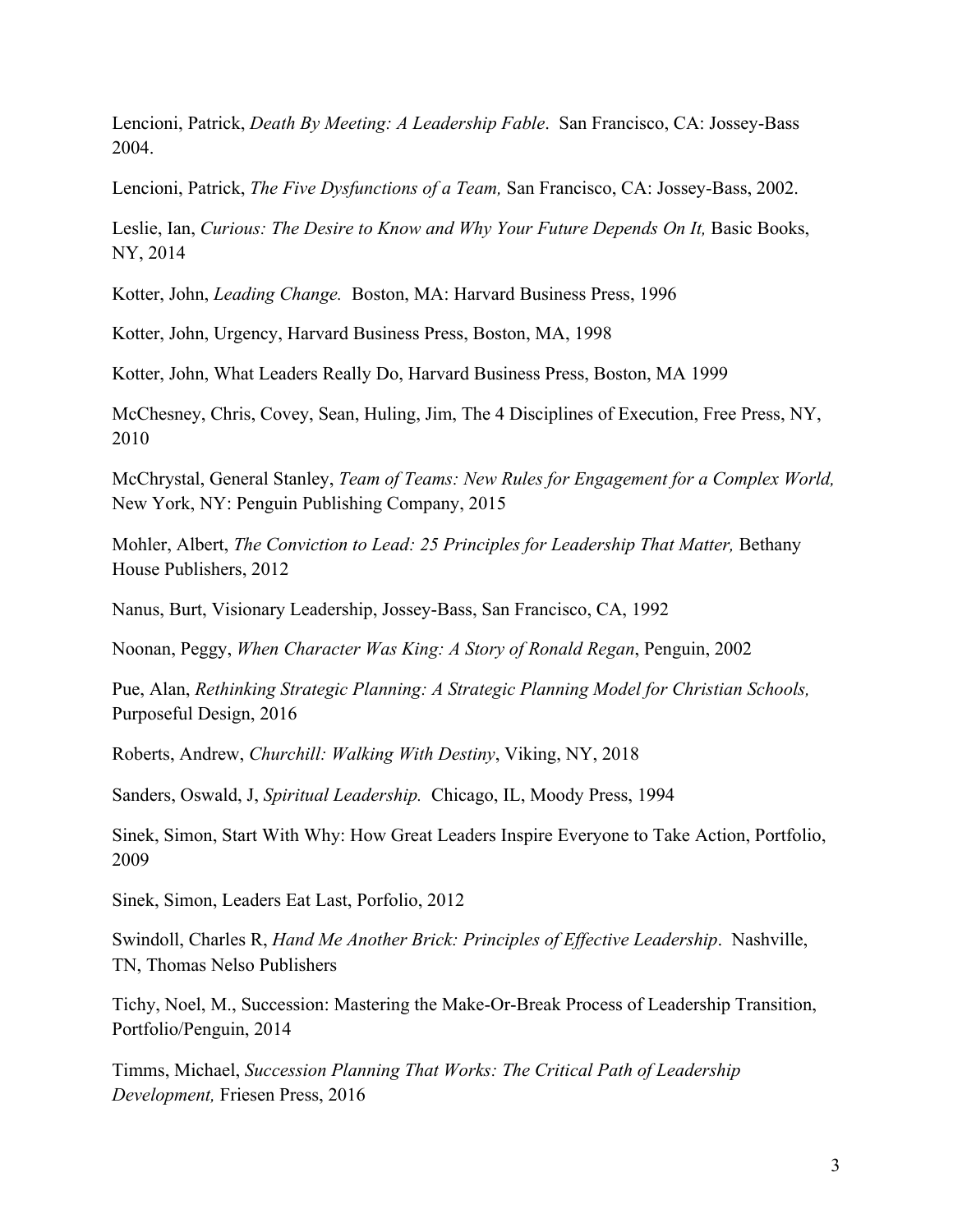Lencioni, Patrick, *Death By Meeting: A Leadership Fable*. San Francisco, CA: Jossey-Bass 2004.

Lencioni, Patrick, *The Five Dysfunctions of a Team,* San Francisco, CA: Jossey-Bass, 2002.

Leslie, Ian, *Curious: The Desire to Know and Why Your Future Depends On It,* Basic Books, NY, 2014

Kotter, John, *Leading Change.* Boston, MA: Harvard Business Press, 1996

Kotter, John, Urgency, Harvard Business Press, Boston, MA, 1998

Kotter, John, What Leaders Really Do, Harvard Business Press, Boston, MA 1999

McChesney, Chris, Covey, Sean, Huling, Jim, The 4 Disciplines of Execution, Free Press, NY, 2010

McChrystal, General Stanley, *Team of Teams: New Rules for Engagement for a Complex World,* New York, NY: Penguin Publishing Company, 2015

Mohler, Albert, *The Conviction to Lead: 25 Principles for Leadership That Matter,* Bethany House Publishers, 2012

Nanus, Burt, Visionary Leadership, Jossey-Bass, San Francisco, CA, 1992

Noonan, Peggy, *When Character Was King: A Story of Ronald Regan*, Penguin, 2002

Pue, Alan, *Rethinking Strategic Planning: A Strategic Planning Model for Christian Schools,* Purposeful Design, 2016

Roberts, Andrew, *Churchill: Walking With Destiny*, Viking, NY, 2018

Sanders, Oswald, J, *Spiritual Leadership.* Chicago, IL, Moody Press, 1994

Sinek, Simon, Start With Why: How Great Leaders Inspire Everyone to Take Action, Portfolio, 2009

Sinek, Simon, Leaders Eat Last, Porfolio, 2012

Swindoll, Charles R, *Hand Me Another Brick: Principles of Effective Leadership*. Nashville, TN, Thomas Nelso Publishers

Tichy, Noel, M., Succession: Mastering the Make-Or-Break Process of Leadership Transition, Portfolio/Penguin, 2014

Timms, Michael, *Succession Planning That Works: The Critical Path of Leadership Development,* Friesen Press, 2016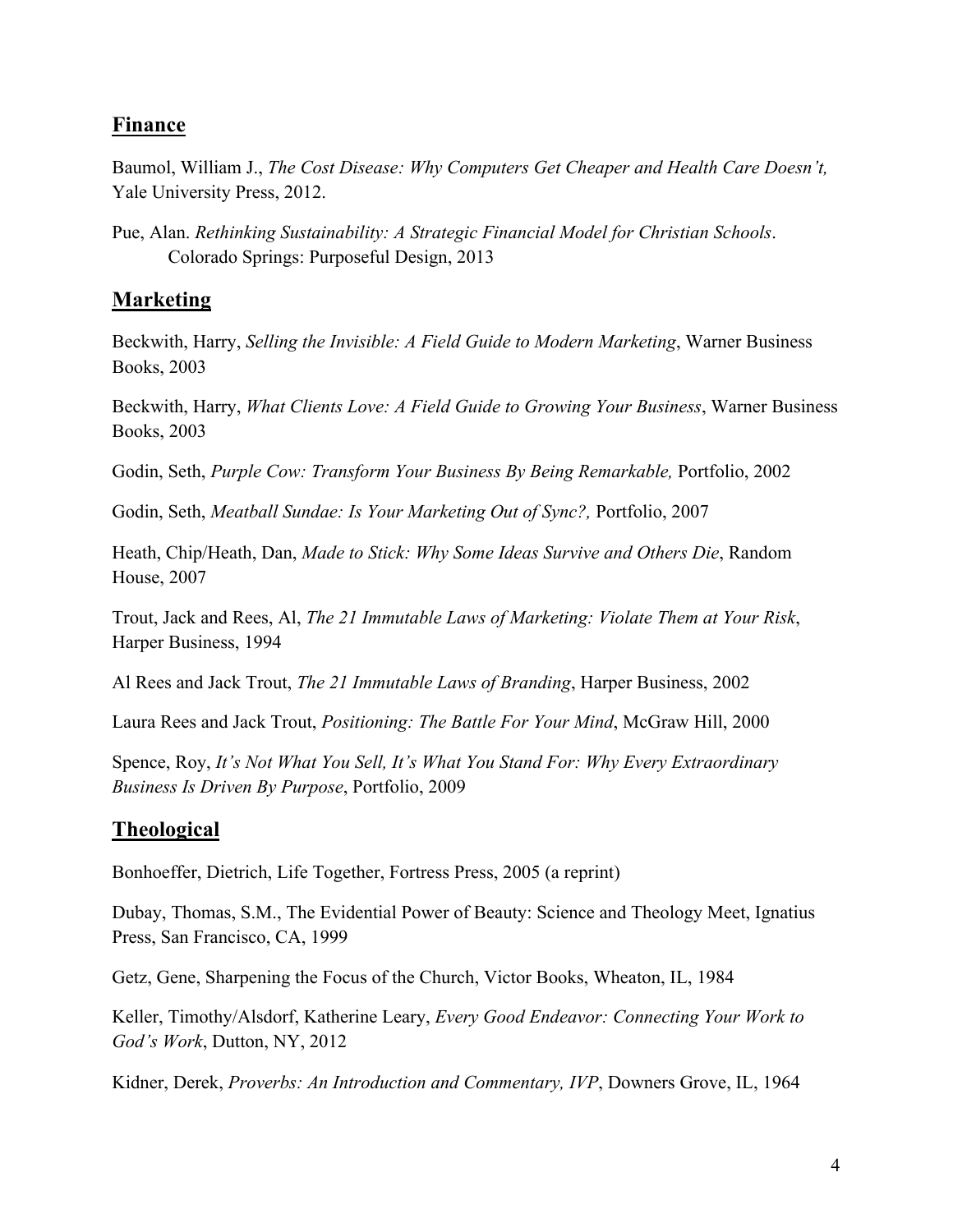## **Finance**

Baumol, William J., *The Cost Disease: Why Computers Get Cheaper and Health Care Doesn't,* Yale University Press, 2012.

Pue, Alan. *Rethinking Sustainability: A Strategic Financial Model for Christian Schools*. Colorado Springs: Purposeful Design, 2013

## **Marketing**

Beckwith, Harry, *Selling the Invisible: A Field Guide to Modern Marketing*, Warner Business Books, 2003

Beckwith, Harry, *What Clients Love: A Field Guide to Growing Your Business*, Warner Business Books, 2003

Godin, Seth, *Purple Cow: Transform Your Business By Being Remarkable,* Portfolio, 2002

Godin, Seth, *Meatball Sundae: Is Your Marketing Out of Sync?,* Portfolio, 2007

Heath, Chip/Heath, Dan, *Made to Stick: Why Some Ideas Survive and Others Die*, Random House, 2007

Trout, Jack and Rees, Al, *The 21 Immutable Laws of Marketing: Violate Them at Your Risk*, Harper Business, 1994

Al Rees and Jack Trout, *The 21 Immutable Laws of Branding*, Harper Business, 2002

Laura Rees and Jack Trout, *Positioning: The Battle For Your Mind*, McGraw Hill, 2000

Spence, Roy, *It's Not What You Sell, It's What You Stand For: Why Every Extraordinary Business Is Driven By Purpose*, Portfolio, 2009

## **Theological**

Bonhoeffer, Dietrich, Life Together, Fortress Press, 2005 (a reprint)

Dubay, Thomas, S.M., The Evidential Power of Beauty: Science and Theology Meet, Ignatius Press, San Francisco, CA, 1999

Getz, Gene, Sharpening the Focus of the Church, Victor Books, Wheaton, IL, 1984

Keller, Timothy/Alsdorf, Katherine Leary, *Every Good Endeavor: Connecting Your Work to God's Work*, Dutton, NY, 2012

Kidner, Derek, *Proverbs: An Introduction and Commentary, IVP*, Downers Grove, IL, 1964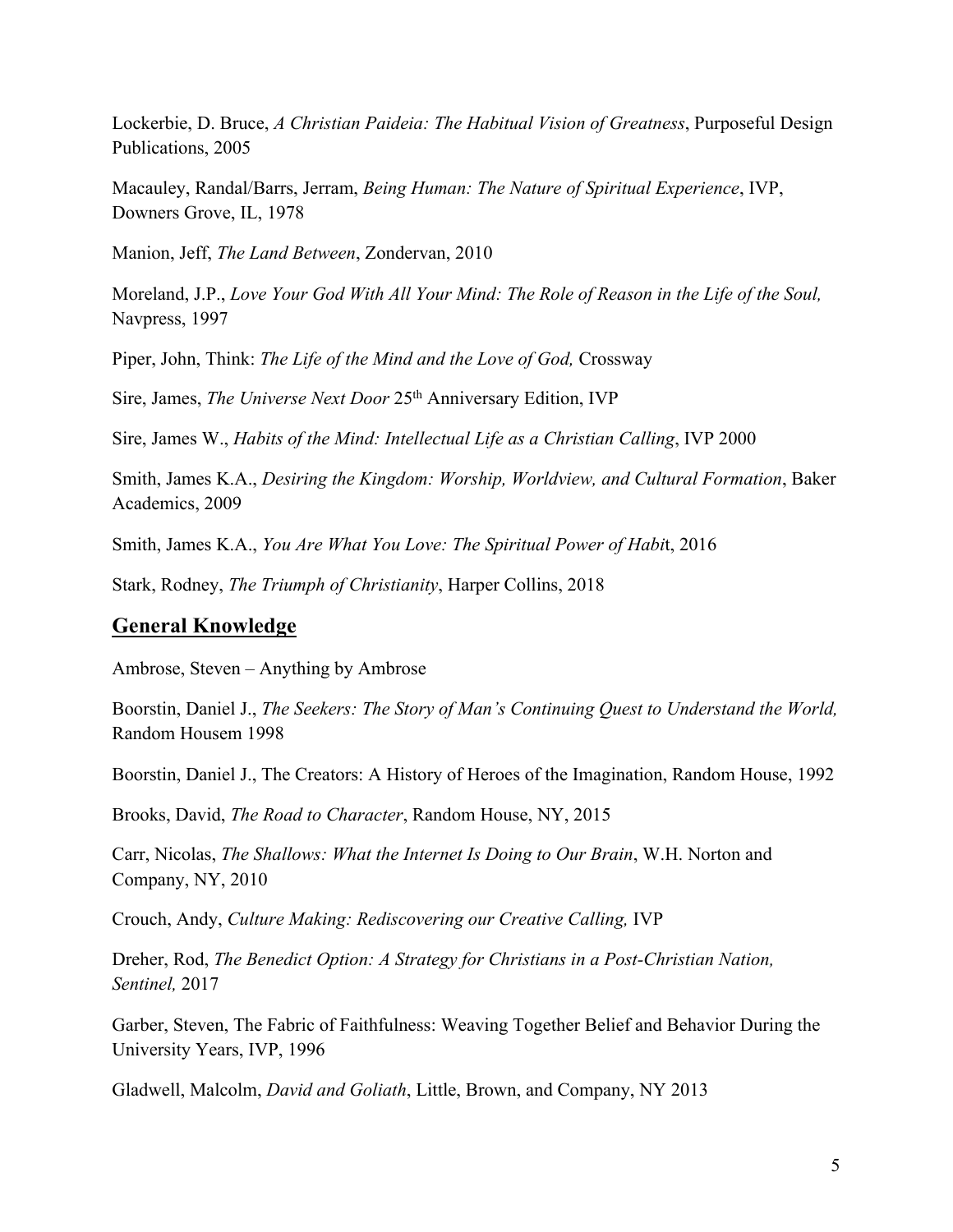Lockerbie, D. Bruce, *A Christian Paideia: The Habitual Vision of Greatness*, Purposeful Design Publications, 2005

Macauley, Randal/Barrs, Jerram, *Being Human: The Nature of Spiritual Experience*, IVP, Downers Grove, IL, 1978

Manion, Jeff, *The Land Between*, Zondervan, 2010

Moreland, J.P., *Love Your God With All Your Mind: The Role of Reason in the Life of the Soul,* Navpress, 1997

Piper, John, Think: *The Life of the Mind and the Love of God,* Crossway

Sire, James, *The Universe Next Door* 25<sup>th</sup> Anniversary Edition, IVP

Sire, James W., *Habits of the Mind: Intellectual Life as a Christian Calling*, IVP 2000

Smith, James K.A., *Desiring the Kingdom: Worship, Worldview, and Cultural Formation*, Baker Academics, 2009

Smith, James K.A., *You Are What You Love: The Spiritual Power of Habi*t, 2016

Stark, Rodney, *The Triumph of Christianity*, Harper Collins, 2018

#### **General Knowledge**

Ambrose, Steven – Anything by Ambrose

Boorstin, Daniel J., *The Seekers: The Story of Man's Continuing Quest to Understand the World,*  Random Housem 1998

Boorstin, Daniel J., The Creators: A History of Heroes of the Imagination, Random House, 1992

Brooks, David, *The Road to Character*, Random House, NY, 2015

Carr, Nicolas, *The Shallows: What the Internet Is Doing to Our Brain*, W.H. Norton and Company, NY, 2010

Crouch, Andy, *Culture Making: Rediscovering our Creative Calling,* IVP

Dreher, Rod, *The Benedict Option: A Strategy for Christians in a Post-Christian Nation, Sentinel,* 2017

Garber, Steven, The Fabric of Faithfulness: Weaving Together Belief and Behavior During the University Years, IVP, 1996

Gladwell, Malcolm, *David and Goliath*, Little, Brown, and Company, NY 2013